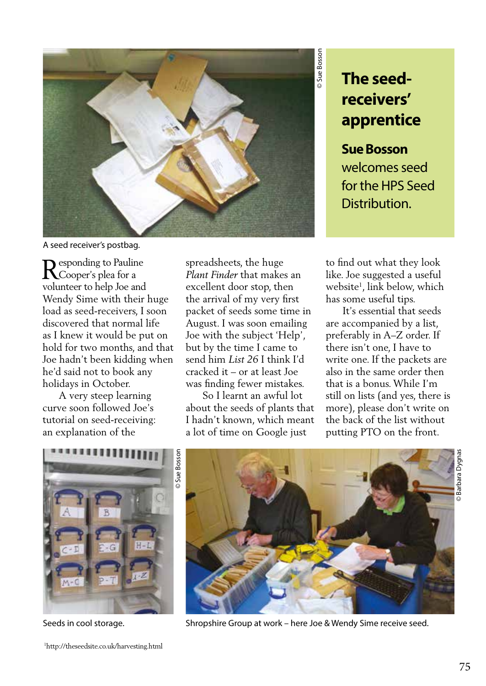

## **The seedreceivers' apprentice**

**Sue Bosson**  welcomes seed for the HPS Seed Distribution.

to find out what they look like. Joe suggested a useful website1 , link below, which has some useful tips.

 It's essential that seeds are accompanied by a list, preferably in A–Z order. If there isn't one, I have to write one. If the packets are also in the same order then that is a bonus. While I'm still on lists (and yes, there is more), please don't write on the back of the list without putting PTO on the front.



 A very steep learning curve soon followed Joe's tutorial on seed-receiving: an explanation of the

A seed receiver's postbag.

 $\mathbf D$  esponding to Pauline **K**Cooper's plea for a volunteer to help Joe and Wendy Sime with their huge load as seed-receivers, I soon discovered that normal life as I knew it would be put on hold for two months, and that Joe hadn't been kidding when he'd said not to book any holidays in October.

1 http://theseedsite.co.uk/harvesting.html

spreadsheets, the huge *Plant Finder* that makes an excellent door stop, then the arrival of my very first packet of seeds some time in August. I was soon emailing Joe with the subject 'Help', but by the time I came to send him *List 26* I think I'd cracked it – or at least Joe was finding fewer mistakes.

 So I learnt an awful lot about the seeds of plants that I hadn't known, which meant a lot of time on Google just



Seeds in cool storage. Shropshire Group at work – here Joe & Wendy Sime receive seed.